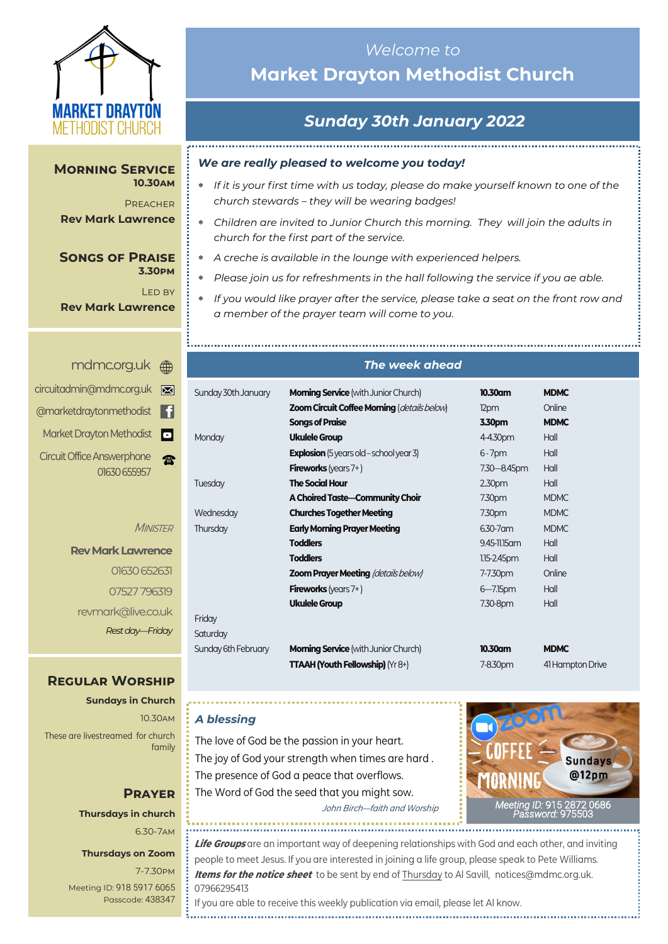

#### **Morning Service 10.30am**

**PREACHER Rev Mark Lawrence**

#### **Songs of Praise 3.30pm**

Led by **Rev Mark Lawrence**

# *Welcome to*  **Market Drayton Methodist Church**

# *Sunday 30th January 2022*

#### *We are really pleased to welcome you today!*

- *If it is your first time with us today, please do make yourself known to one of the church stewards – they will be wearing badges!*
- *Children are invited to Junior Church this morning. They will join the adults in church for the first part of the service.*
- *A creche is available in the lounge with experienced helpers.*
- *Please join us for refreshments in the hall following the service if you ae able.*
- *If you would like prayer after the service, please take a seat on the front row and a member of the prayer team will come to you.*

#### <mdmc.org.uk>

| ⊠   | circuitadmin@mdmc.org.uk                          |
|-----|---------------------------------------------------|
| E 1 | @marketdraytonmethodist                           |
| o   | Market Drayton Methodist                          |
|     | <b>Circuit Office Answerphone</b><br>01630 655957 |

**MINISTER** 

**Rev Mark Lawrence** 01630 652631 07527 796319 revmark@live.co.uk *Rest day—Friday*

## **Regular Worship**

**Sundays in Church** 10.30am These are livestreamed for church family

### **Prayer Thursdays in church** 6.30-7am

## **Thursdays on Zoom**

7-7.30pm [Meeting ID:](https://us04web.zoom.us/j/77138650306?fbclid=IwAR1B778-w3GWZgDnAqUFq-X6hXjzASNTsZuRIt4kZ4Cpyur_3CO2EGlBBwY#success) 918 5917 6065 Passcode: 438347

#### *The week ahead*

| Sunday 30th January | <b>Morning Service</b> (with Junior Church)    | 10.30am       | <b>MDMC</b>      |
|---------------------|------------------------------------------------|---------------|------------------|
|                     | Zoom Circuit Coffee Morning (details below)    | 12pm          | Online           |
|                     | <b>Songs of Praise</b>                         | 3.30pm        | <b>MDMC</b>      |
| Monday              | <b>Ukulele Group</b>                           | 4-4.30pm      | Hall             |
|                     | <b>Explosion</b> (5 years old - school year 3) | $6 - 7$ pm    | Hall             |
|                     | <b>Fireworks</b> (years $7+$ )                 | 7.30 - 8.45pm | Hall             |
| Tuesday             | <b>The Social Hour</b>                         | 2.30pm        | Hall             |
|                     | A Choired Taste-Community Choir                | 7.30pm        | <b>MDMC</b>      |
| Wednesday           | <b>Churches Together Meeting</b>               | 7.30pm        | <b>MDMC</b>      |
| Thursday            | <b>Early Morning Prayer Meeting</b>            | 6.30-7 am     | <b>MDMC</b>      |
|                     | <b>Toddlers</b>                                | 9.45-11.15 am | Hall             |
|                     | <b>Toddlers</b>                                | 1.15-2.45pm   | Hall             |
|                     | <b>Zoom Prayer Meeting (details below)</b>     | 7-7.30pm      | Online           |
|                     | <b>Fireworks</b> (years $7+$ )                 | $6 - 7.15$ pm | Hall             |
|                     | <b>Ukulele Group</b>                           | 7.30-8pm      | Hall             |
| Friday              |                                                |               |                  |
| Saturday            |                                                |               |                  |
| Sunday 6th February | <b>Morning Service</b> (with Junior Church)    | 10.30am       | <b>MDMC</b>      |
|                     | <b>TTAAH (Youth Fellowship)</b> (Yr 8+)        | 7-8.30pm      | 41 Hampton Drive |

#### *A blessing*

The love of God be the passion in your heart. The joy of God your strength when times are hard . The presence of God a peace that overflows. The Word of God the seed that you might sow. John Birch—faith and Worship



**Life Groups** are an important way of deepening relationships with God and each other, and inviting people to meet Jesus. If you are interested in joining a life group, please speak to Pete Williams. **Items for the notice sheet** to be sent by end of Thursday to Al Savill, [notices@mdmc.org.uk.](mailto:notices@mdmc.org.uk)  07966295413 If you are able to receive this weekly publication via email, please let Al know.